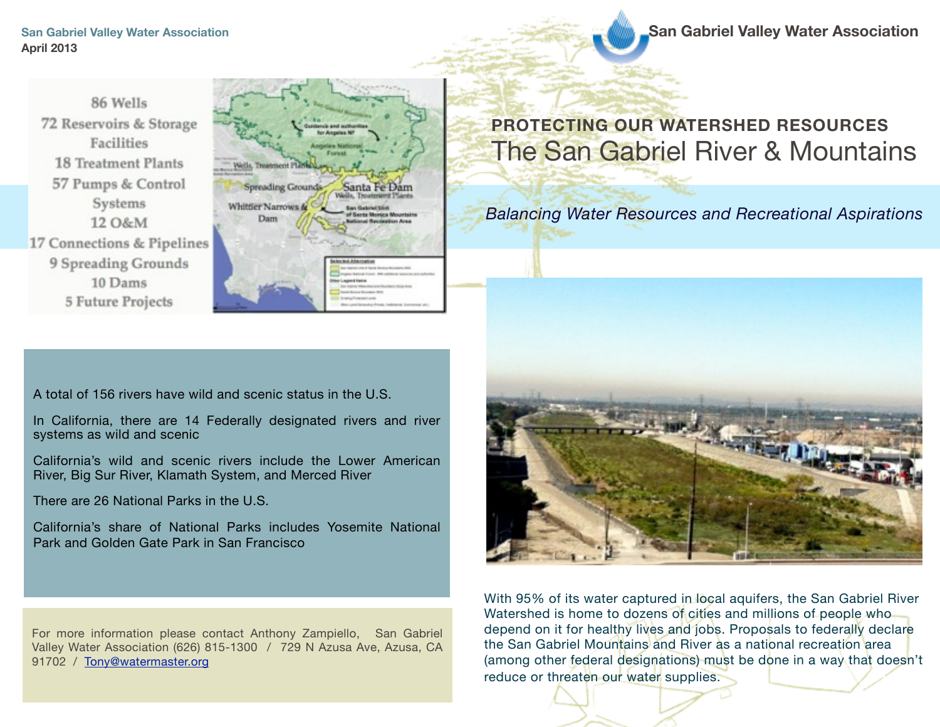**San Gabriel Valley Water Association San Gabriel Valley Water Association** 

86 Wells 72 Reservoirs & Storage Facilities 18 Treatment Plants 57 Pumps & Control Systems 12 O&M 17 Connections & Pipelines 9 Spreading Grounds 10 Dams **5 Future Projects** 



# **PROTECTING OUR WATERSHED RESOURCES** The San Gabriel River & Mountains

*Balancing Water Resources and Recreational Aspirations*

A total of 156 rivers have wild and scenic status in the U.S.

In California, there are 14 Federally designated rivers and river systems as wild and scenic

California's wild and scenic rivers include the Lower American River, Big Sur River, Klamath System, and Merced River

There are 26 National Parks in the U.S.

California's share of National Parks includes Yosemite National Park and Golden Gate Park in San Francisco

With 95% of its water captured in local aquifers, the San Gabriel River Watershed is home to dozens of cities and millions of people who depend on it for healthy lives and jobs. Proposals to federally declare the San Gabriel Mountains and River as a national recreation area (among other federal designations) must be done in a way that doesn't reduce or threaten our water supplies.

For more information please contact Anthony Zampiello, San Gabriel Valley Water Association (626) 815-1300 / 729 N Azusa Ave, Azusa, CA 91702 / [Tony@watermaster.org](mailto:Tony@watermaster.org)